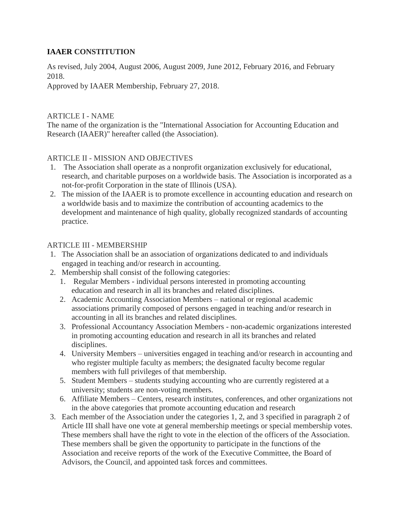# **IAAER CONSTITUTION**

As revised, July 2004, August 2006, August 2009, June 2012, February 2016, and February 2018.

Approved by IAAER Membership, February 27, 2018.

## [ARTICLE I -](http://www.iaaer.org/pages/constitution) NAME

The name of the organization is the "International Association for Accounting Education and Research (IAAER)" hereafter called (the Association).

# ARTICLE II - [MISSION AND OBJECTIVES](http://www.iaaer.org/pages/constitution)

- 1. The Association shall operate as a nonprofit organization exclusively for educational, research, and charitable purposes on a worldwide basis. The Association is incorporated as a not-for-profit Corporation in the state of Illinois (USA).
- 2. The mission of the IAAER is to promote excellence in accounting education and research on a worldwide basis and to maximize the contribution of accounting academics to the development and maintenance of high quality, globally recognized standards of accounting practice.

## ARTICLE III - [MEMBERSHIP](http://www.iaaer.org/pages/constitution)

- 1. The Association shall be an association of organizations dedicated to and individuals engaged in teaching and/or research in accounting.
- 2. Membership shall consist of the following categories:
	- 1. Regular Members individual persons interested in promoting accounting education and research in all its branches and related disciplines.
	- 2. Academic Accounting Association Members national or regional academic associations primarily composed of persons engaged in teaching and/or research in accounting in all its branches and related disciplines.
	- 3. Professional Accountancy Association Members non-academic organizations interested in promoting accounting education and research in all its branches and related disciplines.
	- 4. University Members universities engaged in teaching and/or research in accounting and who register multiple faculty as members; the designated faculty become regular members with full privileges of that membership.
	- 5. Student Members students studying accounting who are currently registered at a university; students are non-voting members.
	- 6. Affiliate Members Centers, research institutes, conferences, and other organizations not in the above categories that promote accounting education and research
- 3. Each member of the Association under the categories 1, 2, and 3 specified in paragraph 2 of Article III shall have one vote at general membership meetings or special membership votes. These members shall have the right to vote in the election of the officers of the Association. These members shall be given the opportunity to participate in the functions of the Association and receive reports of the work of the Executive Committee, the Board of Advisors, the Council, and appointed task forces and committees.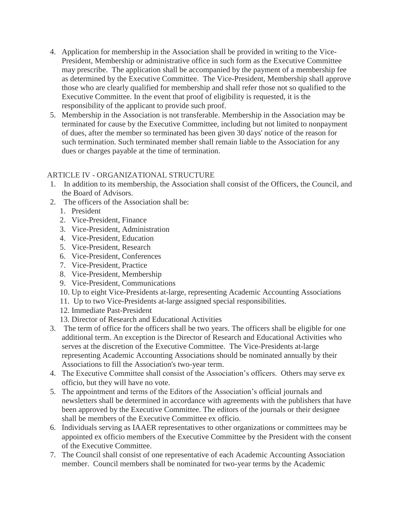- 4. Application for membership in the Association shall be provided in writing to the Vice-President, Membership or administrative office in such form as the Executive Committee may prescribe. The application shall be accompanied by the payment of a membership fee as determined by the Executive Committee. The Vice-President, Membership shall approve those who are clearly qualified for membership and shall refer those not so qualified to the Executive Committee. In the event that proof of eligibility is requested, it is the responsibility of the applicant to provide such proof.
- 5. Membership in the Association is not transferable. Membership in the Association may be terminated for cause by the Executive Committee, including but not limited to nonpayment of dues, after the member so terminated has been given 30 days' notice of the reason for such termination. Such terminated member shall remain liable to the Association for any dues or charges payable at the time of termination.

## ARTICLE IV - [ORGANIZATIONAL STRUCTURE](http://www.iaaer.org/pages/constitution)

- 1. In addition to its membership, the Association shall consist of the Officers, the Council, and the Board of Advisors.
- 2. The officers of the Association shall be:
	- 1. President
	- 2. Vice-President, Finance
	- 3. Vice-President, Administration
	- 4. Vice-President, Education
	- 5. Vice-President, Research
	- 6. Vice-President, Conferences
	- 7. Vice-President, Practice
	- 8. Vice-President, Membership
	- 9. Vice-President, Communications
	- 10. Up to eight Vice-Presidents at-large, representing Academic Accounting Associations
	- 11. Up to two Vice-Presidents at-large assigned special responsibilities.
	- 12. Immediate Past-President
	- 13. Director of Research and Educational Activities
- 3. The term of office for the officers shall be two years. The officers shall be eligible for one additional term. An exception is the Director of Research and Educational Activities who serves at the discretion of the Executive Committee. The Vice-Presidents at-large representing Academic Accounting Associations should be nominated annually by their Associations to fill the Association's two-year term.
- 4. The Executive Committee shall consist of the Association's officers. Others may serve ex officio, but they will have no vote.
- 5. The appointment and terms of the Editors of the Association's official journals and newsletters shall be determined in accordance with agreements with the publishers that have been approved by the Executive Committee. The editors of the journals or their designee shall be members of the Executive Committee ex officio.
- 6. Individuals serving as IAAER representatives to other organizations or committees may be appointed ex officio members of the Executive Committee by the President with the consent of the Executive Committee.
- 7. The Council shall consist of one representative of each Academic Accounting Association member. Council members shall be nominated for two-year terms by the Academic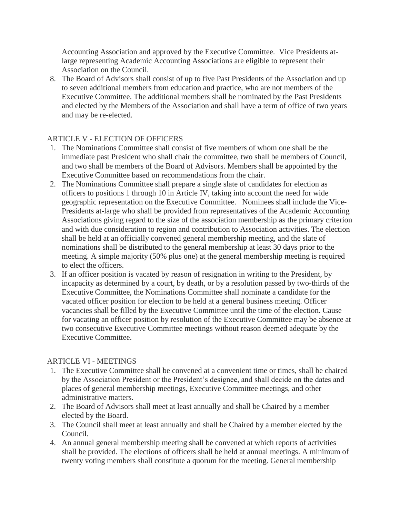Accounting Association and approved by the Executive Committee. Vice Presidents atlarge representing Academic Accounting Associations are eligible to represent their Association on the Council.

8. The Board of Advisors shall consist of up to five Past Presidents of the Association and up to seven additional members from education and practice, who are not members of the Executive Committee. The additional members shall be nominated by the Past Presidents and elected by the Members of the Association and shall have a term of office of two years and may be re-elected.

## ARTICLE V - [ELECTION OF OFFICERS](http://www.iaaer.org/pages/constitution)

- 1. The Nominations Committee shall consist of five members of whom one shall be the immediate past President who shall chair the committee, two shall be members of Council, and two shall be members of the Board of Advisors. Members shall be appointed by the Executive Committee based on recommendations from the chair.
- 2. The Nominations Committee shall prepare a single slate of candidates for election as officers to positions 1 through 10 in Article IV, taking into account the need for wide geographic representation on the Executive Committee. Nominees shall include the Vice-Presidents at-large who shall be provided from representatives of the Academic Accounting Associations giving regard to the size of the association membership as the primary criterion and with due consideration to region and contribution to Association activities. The election shall be held at an officially convened general membership meeting, and the slate of nominations shall be distributed to the general membership at least 30 days prior to the meeting. A simple majority (50% plus one) at the general membership meeting is required to elect the officers.
- 3. If an officer position is vacated by reason of resignation in writing to the President, by incapacity as determined by a court, by death, or by a resolution passed by two-thirds of the Executive Committee, the Nominations Committee shall nominate a candidate for the vacated officer position for election to be held at a general business meeting. Officer vacancies shall be filled by the Executive Committee until the time of the election. Cause for vacating an officer position by resolution of the Executive Committee may be absence at two consecutive Executive Committee meetings without reason deemed adequate by the Executive Committee.

### [ARTICLE VI -](http://www.iaaer.org/pages/constitution) MEETINGS

- 1. The Executive Committee shall be convened at a convenient time or times, shall be chaired by the Association President or the President's designee, and shall decide on the dates and places of general membership meetings, Executive Committee meetings, and other administrative matters.
- 2. The Board of Advisors shall meet at least annually and shall be Chaired by a member elected by the Board.
- 3. The Council shall meet at least annually and shall be Chaired by a member elected by the Council.
- 4. An annual general membership meeting shall be convened at which reports of activities shall be provided. The elections of officers shall be held at annual meetings. A minimum of twenty voting members shall constitute a quorum for the meeting. General membership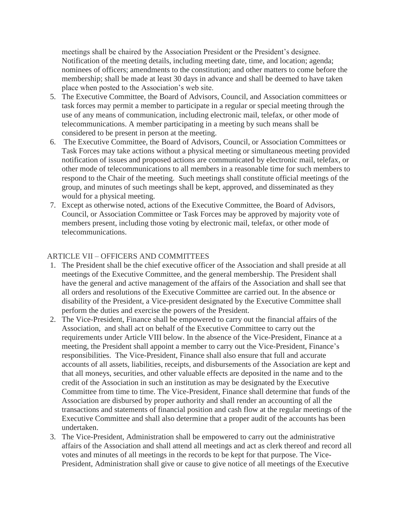meetings shall be chaired by the Association President or the President's designee. Notification of the meeting details, including meeting date, time, and location; agenda; nominees of officers; amendments to the constitution; and other matters to come before the membership; shall be made at least 30 days in advance and shall be deemed to have taken place when posted to the Association's web site.

- 5. The Executive Committee, the Board of Advisors, Council, and Association committees or task forces may permit a member to participate in a regular or special meeting through the use of any means of communication, including electronic mail, telefax, or other mode of telecommunications. A member participating in a meeting by such means shall be considered to be present in person at the meeting.
- 6. The Executive Committee, the Board of Advisors, Council, or Association Committees or Task Forces may take actions without a physical meeting or simultaneous meeting provided notification of issues and proposed actions are communicated by electronic mail, telefax, or other mode of telecommunications to all members in a reasonable time for such members to respond to the Chair of the meeting. Such meetings shall constitute official meetings of the group, and minutes of such meetings shall be kept, approved, and disseminated as they would for a physical meeting.
- 7. Except as otherwise noted, actions of the Executive Committee, the Board of Advisors, Council, or Association Committee or Task Forces may be approved by majority vote of members present, including those voting by electronic mail, telefax, or other mode of telecommunications.

#### ARTICLE VII – [OFFICERS AND COMMITTEES](http://www.iaaer.org/pages/constitution)

- 1. The President shall be the chief executive officer of the Association and shall preside at all meetings of the Executive Committee, and the general membership. The President shall have the general and active management of the affairs of the Association and shall see that all orders and resolutions of the Executive Committee are carried out. In the absence or disability of the President, a Vice-president designated by the Executive Committee shall perform the duties and exercise the powers of the President.
- 2. The Vice-President, Finance shall be empowered to carry out the financial affairs of the Association, and shall act on behalf of the Executive Committee to carry out the requirements under Article VIII below. In the absence of the Vice-President, Finance at a meeting, the President shall appoint a member to carry out the Vice-President, Finance's responsibilities. The Vice-President, Finance shall also ensure that full and accurate accounts of all assets, liabilities, receipts, and disbursements of the Association are kept and that all moneys, securities, and other valuable effects are deposited in the name and to the credit of the Association in such an institution as may be designated by the Executive Committee from time to time. The Vice-President, Finance shall determine that funds of the Association are disbursed by proper authority and shall render an accounting of all the transactions and statements of financial position and cash flow at the regular meetings of the Executive Committee and shall also determine that a proper audit of the accounts has been undertaken.
- 3. The Vice-President, Administration shall be empowered to carry out the administrative affairs of the Association and shall attend all meetings and act as clerk thereof and record all votes and minutes of all meetings in the records to be kept for that purpose. The Vice-President, Administration shall give or cause to give notice of all meetings of the Executive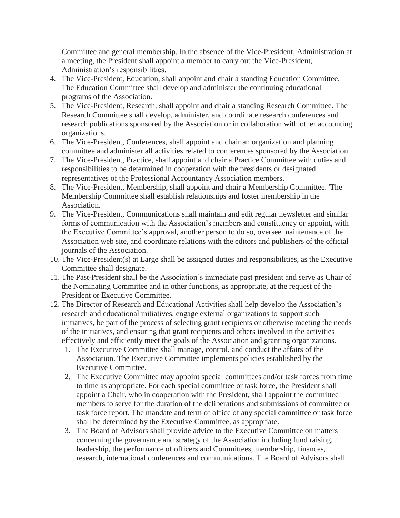Committee and general membership. In the absence of the Vice-President, Administration at a meeting, the President shall appoint a member to carry out the Vice-President, Administration's responsibilities.

- 4. The Vice-President, Education, shall appoint and chair a standing Education Committee. The Education Committee shall develop and administer the continuing educational programs of the Association.
- 5. The Vice-President, Research, shall appoint and chair a standing Research Committee. The Research Committee shall develop, administer, and coordinate research conferences and research publications sponsored by the Association or in collaboration with other accounting organizations.
- 6. The Vice-President, Conferences, shall appoint and chair an organization and planning committee and administer all activities related to conferences sponsored by the Association.
- 7. The Vice-President, Practice, shall appoint and chair a Practice Committee with duties and responsibilities to be determined in cooperation with the presidents or designated representatives of the Professional Accountancy Association members.
- 8. The Vice-President, Membership, shall appoint and chair a Membership Committee. 'The Membership Committee shall establish relationships and foster membership in the Association.
- 9. The Vice-President, Communications shall maintain and edit regular newsletter and similar forms of communication with the Association's members and constituency or appoint, with the Executive Committee's approval, another person to do so, oversee maintenance of the Association web site, and coordinate relations with the editors and publishers of the official journals of the Association.
- 10. The Vice-President(s) at Large shall be assigned duties and responsibilities, as the Executive Committee shall designate.
- 11. The Past-President shall be the Association's immediate past president and serve as Chair of the Nominating Committee and in other functions, as appropriate, at the request of the President or Executive Committee.
- 12. The Director of Research and Educational Activities shall help develop the Association's research and educational initiatives, engage external organizations to support such initiatives, be part of the process of selecting grant recipients or otherwise meeting the needs of the initiatives, and ensuring that grant recipients and others involved in the activities effectively and efficiently meet the goals of the Association and granting organizations.
	- 1. The Executive Committee shall manage, control, and conduct the affairs of the Association. The Executive Committee implements policies established by the Executive Committee.
	- 2. The Executive Committee may appoint special committees and/or task forces from time to time as appropriate. For each special committee or task force, the President shall appoint a Chair, who in cooperation with the President, shall appoint the committee members to serve for the duration of the deliberations and submissions of committee or task force report. The mandate and term of office of any special committee or task force shall be determined by the Executive Committee, as appropriate.
	- 3. The Board of Advisors shall provide advice to the Executive Committee on matters concerning the governance and strategy of the Association including fund raising, leadership, the performance of officers and Committees, membership, finances, research, international conferences and communications. The Board of Advisors shall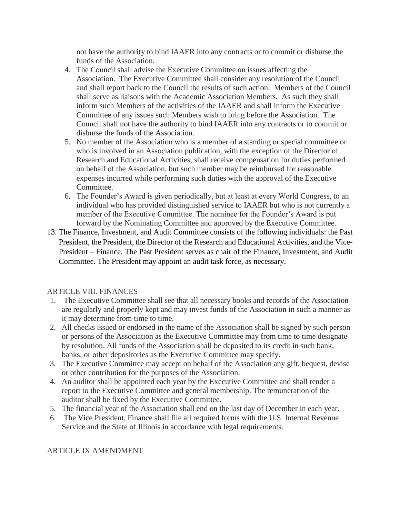not have the authority to bind IAAER into any contracts or to commit or disburse the funds of the Association.

- 4. The Council shall advise the Executive Committee on issues affecting the Association. The Executive Committee shall consider any resolution of the Council and shall report back to the Council the results of such action. Members of the Council shall serve as liaisons with the Academic Association Members. As such they shall inform such Members of the activities of the IAAER and shall inform the Executive Committee of any issues such Members wish to bring before the Association. The Council shall not have the authority to bind IAAER into any contracts or to commit or disburse the funds of the Association.
- 5. No member of the Association who is a member of a standing or special committee or who is involved in an Association publication, with the exception of the Director of Research and Educational Activities, shall receive compensation for duties performed on behalf of the Association, but such member may be reimbursed for reasonable expenses incurred while performing such duties with the approval of the Executive Committee.
- 6. The Founder's Award is given periodically, but at least at every World Congress, to an individual who has provided distinguished service to IAAER but who is not currently a member of the Executive Committee. The nominee for the Founder's Award is put forward by the Nominating Committee and approved by the Executive Committee.
- 13. The Finance, Investment, and Audit Committee consists of the following individuals: the Past President, the President, the Director of the Research and Educational Activities, and the Vice-President – Finance. The Past President serves as chair of the Finance, Investment, and Audit Committee. The President may appoint an audit task force, as necessary.

### [ARTICLE VIII. FINANCES](http://www.iaaer.org/pages/constitution)

- 1. The Executive Committee shall see that all necessary books and records of the Association are regularly and properly kept and may invest funds of the Association in such a manner as it may determine from time to time.
- 2. All checks issued or endorsed in the name of the Association shall be signed by such person or persons of the Association as the Executive Committee may from time to time designate by resolution. All funds of the Association shall be deposited to its credit in such bank, banks, or other depositories as the Executive Committee may specify.
- 3. The Executive Committee may accept on behalf of the Association any gift, bequest, devise or other contribution for the purposes of the Association.
- 4. An auditor shall be appointed each year by the Executive Committee and shall render a report to the Executive Committee and general membership. The remuneration of the auditor shall be fixed by the Executive Committee.
- 5. The financial year of the Association shall end on the last day of December in each year.
- 6. The Vice President, Finance shall file all required forms with the U.S. Internal Revenue Service and the State of Illinois in accordance with legal requirements.

### [ARTICLE IX AMENDMENT](http://www.iaaer.org/pages/constitution)